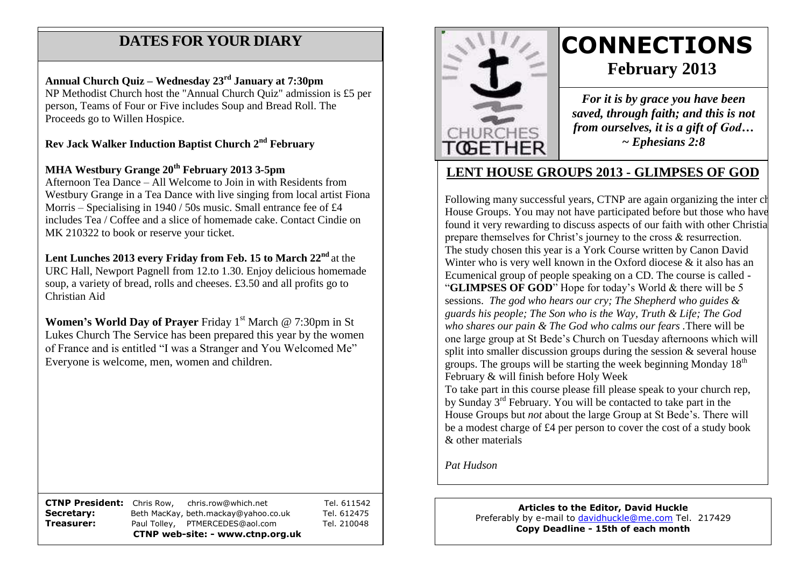## **DATES FOR YOUR DIARY**

 person, Teams of Four or Five includes Soup and Bread Roll. The Proceeds go to Willen Hospice. **Annual Church Quiz – Wednesday 23rd January at 7:30pm** NP Methodist Church host the "Annual Church Quiz" admission is £5 per

**Rev Jack Walker Induction Baptist Church 2nd February**

**MHA Westbury Grange 20th February 2013 3-5pm**

Afternoon Tea Dance – All Welcome to Join in with Residents from Westbury Grange in a Tea Dance with live singing from local artist Fiona Morris – Specialising in 1940 / 50s music. Small entrance fee of £4 includes Tea / Coffee and a slice of homemade cake. Contact Cindie on MK 210322 to book or reserve your ticket.

**Lent Lunches 2013 every Friday from Feb. 15 to March 22nd** at the URC Hall, Newport Pagnell from 12.to 1.30. Enjoy delicious homemade soup, a variety of bread, rolls and cheeses. £3.50 and all profits go to Christian Aid

**Women's World Day of Prayer** Friday 1<sup>st</sup> March @ 7:30pm in St Lukes Church The Service has been prepared this year by the women of France and is entitled "I was a Stranger and You Welcomed Me" Everyone is welcome, men, women and children.

**CTNP President:** Chris Row, chris.row@which.net Tel. 611542 **Secretary:** Beth MacKay, beth.mackay@yahoo.co.uk Tel. 612475 **Treasurer:** Paul Tolley, PTMERCEDES@aol.com Tel. 210048 **CTNP web-site: - www.ctnp.org.uk**



# **CONNECTIONS February 2013**

*For it is by grace you have been saved, through faith; and this is not from ourselves, it is a gift of God… ~ Ephesians 2:8*

## **LENT HOUSE GROUPS 2013 - GLIMPSES OF GOD**

Following many successful years, CTNP are again organizing the inter ch House Groups. You may not have participated before but those who have found it very rewarding to discuss aspects of our faith with other Christia prepare themselves for Christ's journey to the cross & resurrection. The study chosen this year is a York Course written by Canon David Winter who is very well known in the Oxford diocese  $\&$  it also has an Ecumenical group of people speaking on a CD. The course is called - "**GLIMPSES OF GOD**" Hope for today's World & there will be 5 sessions. *The god who hears our cry; The Shepherd who guides & guards his people; The Son who is the Way, Truth & Life; The God who shares our pain & The God who calms our fears .*There will be one large group at St Bede's Church on Tuesday afternoons which will split into smaller discussion groups during the session & several house groups. The groups will be starting the week beginning Monday  $18<sup>th</sup>$ February & will finish before Holy Week

To take part in this course please fill please speak to your church rep, by Sunday 3rd February. You will be contacted to take part in the House Groups but *not* about the large Group at St Bede's. There will be a modest charge of £4 per person to cover the cost of a study book & other materials

*Pat Hudson*

**Articles to the Editor, David Huckle** Preferably by e-mail to [davidhuckle@me.com](mailto:davidhuckle@me.com) Tel. 217429 **Copy Deadline - 15th of each month**